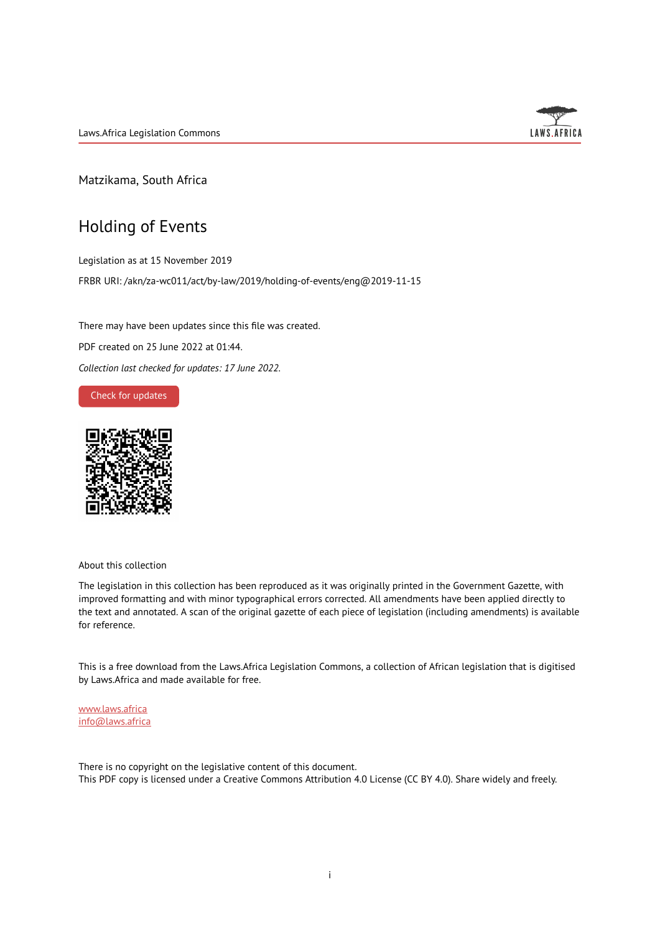Laws.Africa Legislation Commons



Matzikama, South Africa

# Holding of Events

Legislation as at 15 November 2019 FRBR URI: /akn/za-wc011/act/by-law/2019/holding-of-events/eng@2019-11-15

There may have been updates since this file was created. PDF created on 25 June 2022 at 01:44. *Collection last checked for updates: 17 June 2022*.

Check for [updates](https://commons.laws.africa/akn/za-wc011/act/by-law/2019/holding-of-events/eng@2019-11-15?ts=2022-06-25T01:44:54.467972+00:00)



About this collection

The legislation in this collection has been reproduced as it was originally printed in the Government Gazette, with improved formatting and with minor typographical errors corrected. All amendments have been applied directly to the text and annotated. A scan of the original gazette of each piece of legislation (including amendments) is available for reference.

This is a free download from the Laws.Africa Legislation Commons, a collection of African legislation that is digitised by Laws.Africa and made available for free.

[www.laws.africa](https://www.laws.africa) [info@laws.africa](mailto:info@laws.africa)

There is no copyright on the legislative content of this document. This PDF copy is licensed under a Creative Commons Attribution 4.0 License (CC BY 4.0). Share widely and freely.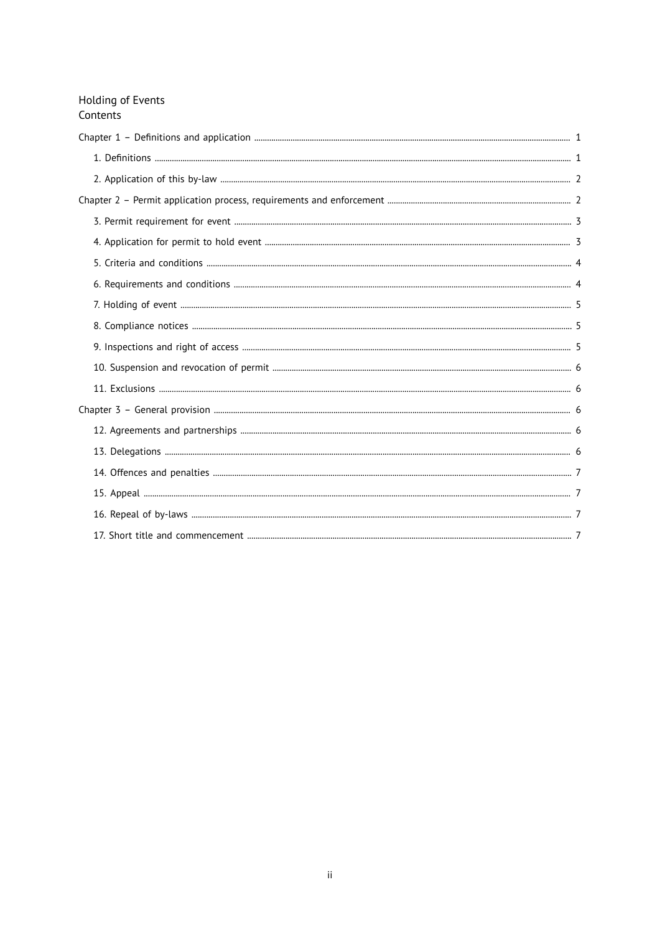| Holding of Events<br>Contents |  |
|-------------------------------|--|
|                               |  |
|                               |  |
|                               |  |
|                               |  |
|                               |  |
|                               |  |
|                               |  |
|                               |  |
|                               |  |
|                               |  |
|                               |  |
|                               |  |
|                               |  |
|                               |  |
|                               |  |
|                               |  |
|                               |  |
|                               |  |
|                               |  |
|                               |  |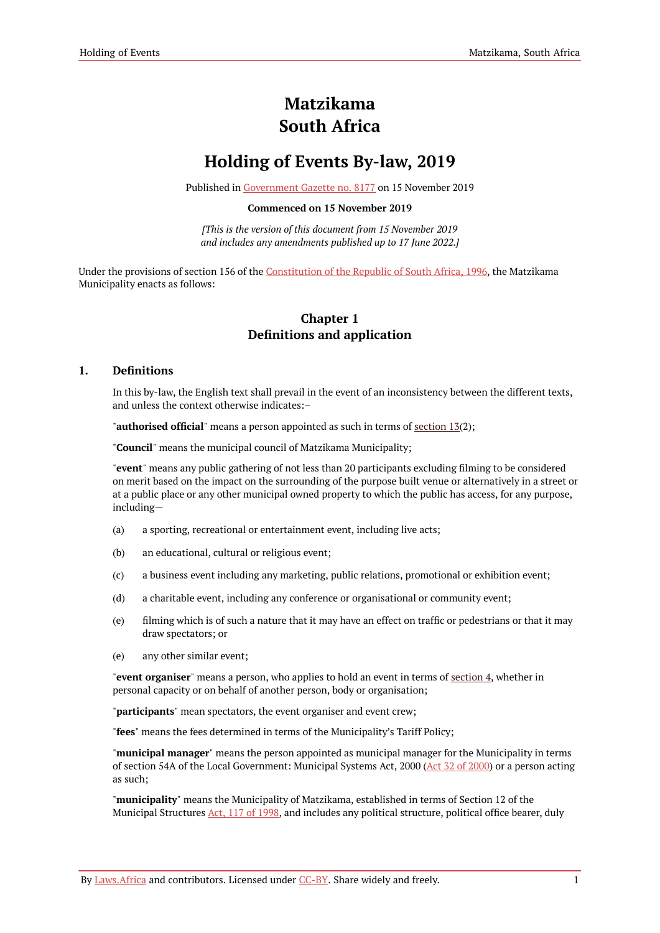# **Matzikama South Africa**

# **Holding of Events By-law, 2019**

Published in [Government](https://commons.laws.africa/akn/za-wc011/act/by-law/2019/holding-of-events/media/publication/za-wc011-act-by-law-2019-holding-of-events-publication-document.pdf) Gazette no. 8177 on 15 November 2019

#### **Commenced on 15 November 2019**

*[This is the version of this document from 15 November 2019 and includes any amendments published up to 17 June 2022.]*

<span id="page-2-0"></span>Under the provisions of section 156 of the [Constitution](https://resolver.laws.africa/resolve/akn/za/act/1996/constitution) of the Republic of South Africa, 1996, the Matzikama Municipality enacts as follows:

## **Chapter 1 Definitions and application**

## <span id="page-2-1"></span>**1. Definitions**

In this by-law, the English text shall prevail in the event of an inconsistency between the different texts, and unless the context otherwise indicates:–

"**authorised official**" means a person appointed as such in terms of [section](#page-7-4) 13(2);

"**Council**" means the municipal council of Matzikama Municipality;

"**event**" means any public gathering of not less than 20 participants excluding filming to be considered on merit based on the impact on the surrounding of the purpose built venue or alternatively in a street or at a public place or any other municipal owned property to which the public has access, for any purpose, including—

- (a) a sporting, recreational or entertainment event, including live acts;
- (b) an educational, cultural or religious event;
- (c) a business event including any marketing, public relations, promotional or exhibition event;
- (d) a charitable event, including any conference or organisational or community event;
- (e) filming which is of such a nature that it may have an effect on traffic or pedestrians or that it may draw spectators; or
- (e) any other similar event;

"**event organiser**" means a person, who applies to hold an event in terms of [section](#page-4-1) 4, whether in personal capacity or on behalf of another person, body or organisation;

"**participants**" mean spectators, the event organiser and event crew;

"**fees**" means the fees determined in terms of the Municipality's Tariff Policy;

"**municipal manager**" means the person appointed as municipal manager for the Municipality in terms of section 54A of the Local Government: Municipal Systems Act, 2000 (Act 32 of [2000\)](https://resolver.laws.africa/resolve/akn/za/act/2000/32) or a person acting as such;

"**municipality**" means the Municipality of Matzikama, established in terms of Section 12 of the Municipal Structures Act, 117 of [1998,](https://resolver.laws.africa/resolve/akn/za/act/1998/117) and includes any political structure, political office bearer, duly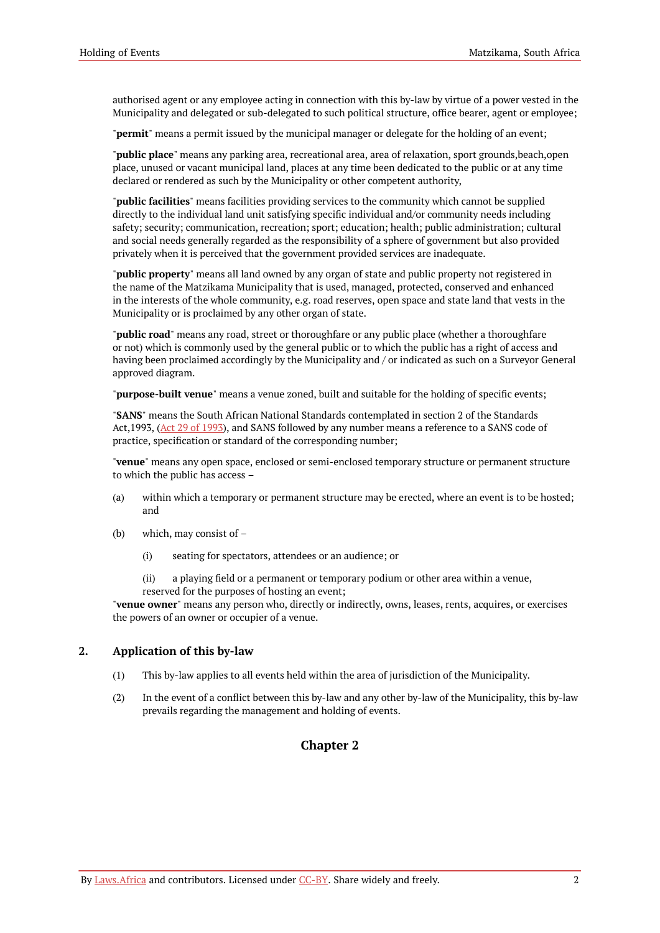authorised agent or any employee acting in connection with this by-law by virtue of a power vested in the Municipality and delegated or sub-delegated to such political structure, office bearer, agent or employee;

"**permit**" means a permit issued by the municipal manager or delegate for the holding of an event;

"**public place**" means any parking area, recreational area, area of relaxation, sport grounds,beach,open place, unused or vacant municipal land, places at any time been dedicated to the public or at any time declared or rendered as such by the Municipality or other competent authority,

"**public facilities**" means facilities providing services to the community which cannot be supplied directly to the individual land unit satisfying specific individual and/or community needs including safety; security; communication, recreation; sport; education; health; public administration; cultural and social needs generally regarded as the responsibility of a sphere of government but also provided privately when it is perceived that the government provided services are inadequate.

"**public property**" means all land owned by any organ of state and public property not registered in the name of the Matzikama Municipality that is used, managed, protected, conserved and enhanced in the interests of the whole community, e.g. road reserves, open space and state land that vests in the Municipality or is proclaimed by any other organ of state.

"**public road**" means any road, street or thoroughfare or any public place (whether a thoroughfare or not) which is commonly used by the general public or to which the public has a right of access and having been proclaimed accordingly by the Municipality and / or indicated as such on a Surveyor General approved diagram.

"**purpose-built venue**" means a venue zoned, built and suitable for the holding of specific events;

"**SANS**" means the South African National Standards contemplated in section 2 of the Standards Act, [1993](https://resolver.laws.africa/resolve/akn/za/act/1993/29), (Act 29 of 1993), and SANS followed by any number means a reference to a SANS code of practice, specification or standard of the corresponding number;

"**venue**" means any open space, enclosed or semi-enclosed temporary structure or permanent structure to which the public has access –

- (a) within which a temporary or permanent structure may be erected, where an event is to be hosted; and
- (b) which, may consist of
	- (i) seating for spectators, attendees or an audience; or
	- (ii) a playing field or a permanent or temporary podium or other area within a venue, reserved for the purposes of hosting an event;

"**venue owner**" means any person who, directly or indirectly, owns, leases, rents, acquires, or exercises the powers of an owner or occupier of a venue.

### <span id="page-3-0"></span>**2. Application of this by-law**

- (1) This by-law applies to all events held within the area of jurisdiction of the Municipality.
- <span id="page-3-1"></span>(2) In the event of a conflict between this by-law and any other by-law of the Municipality, this by-law prevails regarding the management and holding of events.

## **Chapter 2**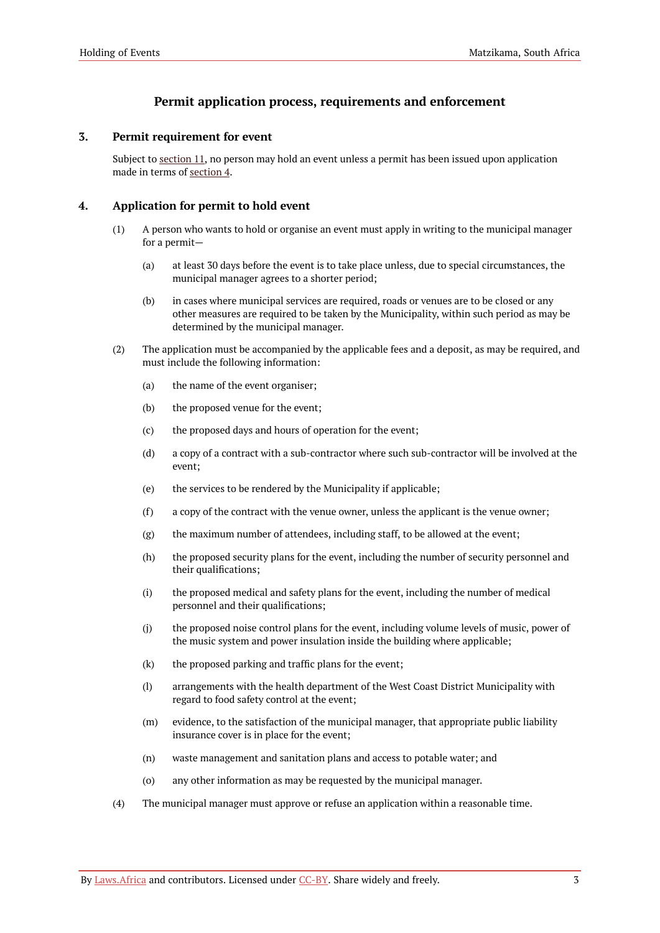# **Permit application process, requirements and enforcement**

## <span id="page-4-0"></span>**3. Permit requirement for event**

Subject to [section](#page-7-1) 11, no person may hold an event unless a permit has been issued upon application made in terms of [section](#page-4-1) 4.

## <span id="page-4-1"></span>**4. Application for permit to hold event**

- (1) A person who wants to hold or organise an event must apply in writing to the municipal manager for a permit—
	- (a) at least 30 days before the event is to take place unless, due to special circumstances, the municipal manager agrees to a shorter period;
	- (b) in cases where municipal services are required, roads or venues are to be closed or any other measures are required to be taken by the Municipality, within such period as may be determined by the municipal manager.
- (2) The application must be accompanied by the applicable fees and a deposit, as may be required, and must include the following information:
	- (a) the name of the event organiser;
	- (b) the proposed venue for the event;
	- (c) the proposed days and hours of operation for the event;
	- (d) a copy of a contract with a sub-contractor where such sub-contractor will be involved at the event;
	- (e) the services to be rendered by the Municipality if applicable;
	- (f) a copy of the contract with the venue owner, unless the applicant is the venue owner;
	- (g) the maximum number of attendees, including staff, to be allowed at the event;
	- (h) the proposed security plans for the event, including the number of security personnel and their qualifications;
	- (i) the proposed medical and safety plans for the event, including the number of medical personnel and their qualifications;
	- (j) the proposed noise control plans for the event, including volume levels of music, power of the music system and power insulation inside the building where applicable;
	- (k) the proposed parking and traffic plans for the event;
	- (l) arrangements with the health department of the West Coast District Municipality with regard to food safety control at the event;
	- (m) evidence, to the satisfaction of the municipal manager, that appropriate public liability insurance cover is in place for the event;
	- (n) waste management and sanitation plans and access to potable water; and
	- (o) any other information as may be requested by the municipal manager.
- (4) The municipal manager must approve or refuse an application within a reasonable time.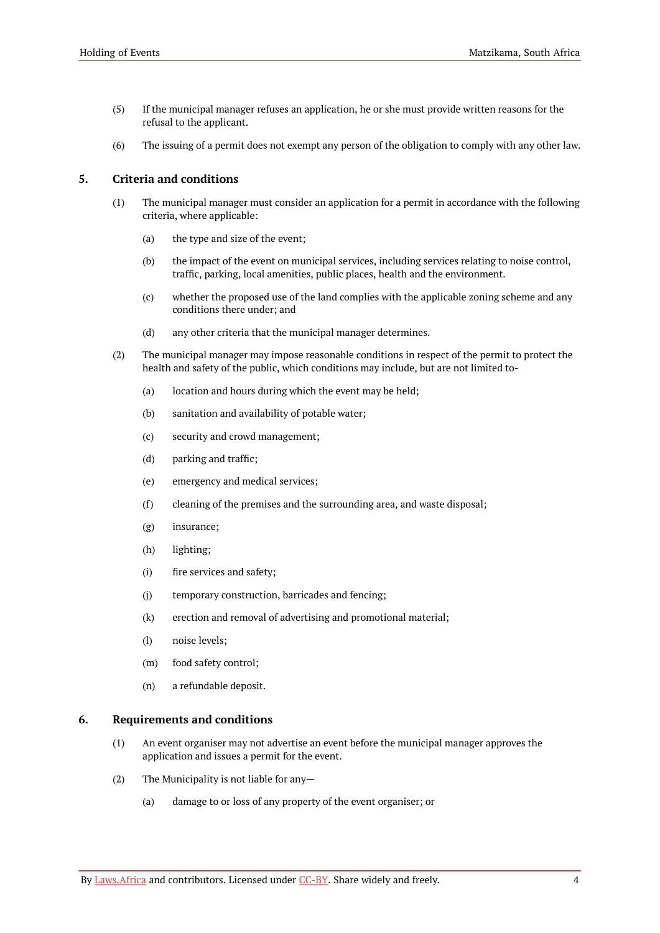- (5) If the municipal manager refuses an application, he or she must provide written reasons for the refusal to the applicant.
- (6) The issuing of a permit does not exempt any person of the obligation to comply with any other law.

## <span id="page-5-0"></span>**5. Criteria and conditions**

- (1) The municipal manager must consider an application for a permit in accordance with the following criteria, where applicable:
	- (a) the type and size of the event;
	- (b) the impact of the event on municipal services, including services relating to noise control, traffic, parking, local amenities, public places, health and the environment.
	- (c) whether the proposed use of the land complies with the applicable zoning scheme and any conditions there under; and
	- (d) any other criteria that the municipal manager determines.
- (2) The municipal manager may impose reasonable conditions in respect of the permit to protect the health and safety of the public, which conditions may include, but are not limited to-
	- (a) location and hours during which the event may be held;
	- (b) sanitation and availability of potable water;
	- (c) security and crowd management;
	- (d) parking and traffic;
	- (e) emergency and medical services;
	- (f) cleaning of the premises and the surrounding area, and waste disposal;
	- (g) insurance;
	- (h) lighting;
	- (i) fire services and safety;
	- (j) temporary construction, barricades and fencing;
	- (k) erection and removal of advertising and promotional material;
	- (l) noise levels;
	- (m) food safety control;
	- (n) a refundable deposit.

#### <span id="page-5-1"></span>**6. Requirements and conditions**

- (1) An event organiser may not advertise an event before the municipal manager approves the application and issues a permit for the event.
- (2) The Municipality is not liable for any—
	- (a) damage to or loss of any property of the event organiser; or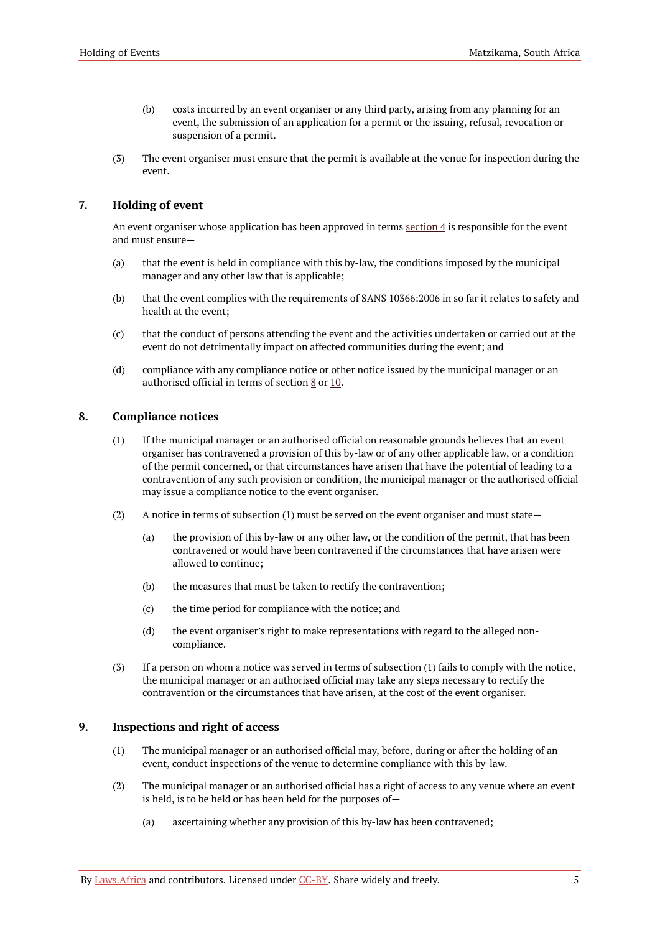- (b) costs incurred by an event organiser or any third party, arising from any planning for an event, the submission of an application for a permit or the issuing, refusal, revocation or suspension of a permit.
- (3) The event organiser must ensure that the permit is available at the venue for inspection during the event.

## <span id="page-6-0"></span>**7. Holding of event**

An event organiser whose application has been approved in terms [section](#page-4-1) 4 is responsible for the event and must ensure—

- (a) that the event is held in compliance with this by-law, the conditions imposed by the municipal manager and any other law that is applicable;
- (b) that the event complies with the requirements of SANS 10366:2006 in so far it relates to safety and health at the event;
- (c) that the conduct of persons attending the event and the activities undertaken or carried out at the event do not detrimentally impact on affected communities during the event; and
- (d) compliance with any compliance notice or other notice issued by the municipal manager or an authorised official in terms of section [8](#page-6-1) or [10.](#page-7-0)

### <span id="page-6-1"></span>**8. Compliance notices**

- (1) If the municipal manager or an authorised official on reasonable grounds believes that an event organiser has contravened a provision of this by-law or of any other applicable law, or a condition of the permit concerned, or that circumstances have arisen that have the potential of leading to a contravention of any such provision or condition, the municipal manager or the authorised official may issue a compliance notice to the event organiser.
- (2) A notice in terms of subsection (1) must be served on the event organiser and must state—
	- (a) the provision of this by-law or any other law, or the condition of the permit, that has been contravened or would have been contravened if the circumstances that have arisen were allowed to continue;
	- (b) the measures that must be taken to rectify the contravention;
	- (c) the time period for compliance with the notice; and
	- (d) the event organiser's right to make representations with regard to the alleged noncompliance.
- (3) If a person on whom a notice was served in terms of subsection (1) fails to comply with the notice, the municipal manager or an authorised official may take any steps necessary to rectify the contravention or the circumstances that have arisen, at the cost of the event organiser.

### <span id="page-6-2"></span>**9. Inspections and right of access**

- (1) The municipal manager or an authorised official may, before, during or after the holding of an event, conduct inspections of the venue to determine compliance with this by-law.
- (2) The municipal manager or an authorised official has a right of access to any venue where an event is held, is to be held or has been held for the purposes of—
	- (a) ascertaining whether any provision of this by-law has been contravened;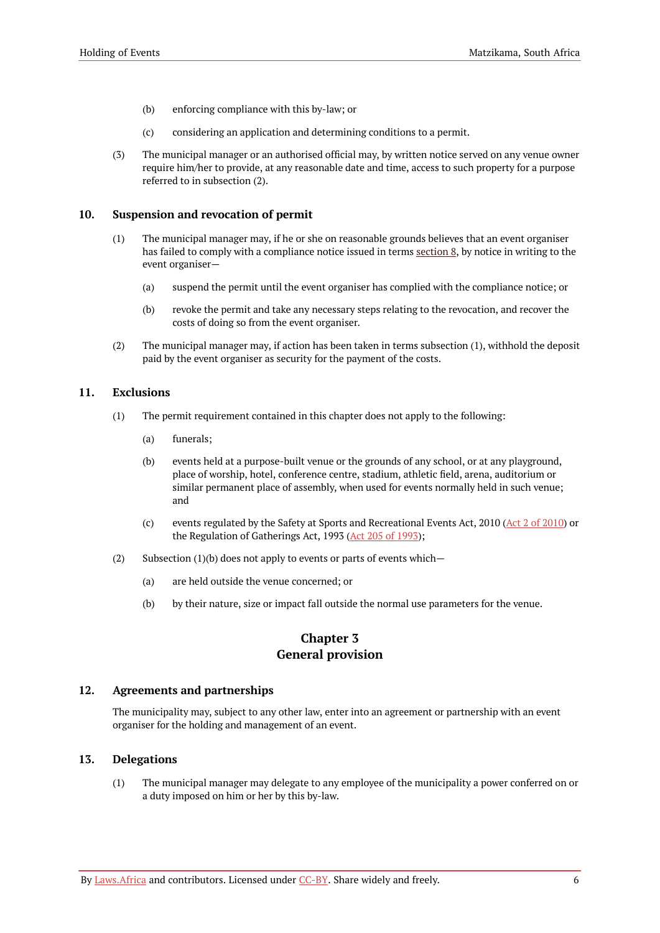- (b) enforcing compliance with this by-law; or
- (c) considering an application and determining conditions to a permit.
- (3) The municipal manager or an authorised official may, by written notice served on any venue owner require him/her to provide, at any reasonable date and time, access to such property for a purpose referred to in subsection (2).

#### <span id="page-7-0"></span>**10. Suspension and revocation of permit**

- (1) The municipal manager may, if he or she on reasonable grounds believes that an event organiser has failed to comply with a compliance notice issued in terms [section](#page-6-1) 8, by notice in writing to the event organiser—
	- (a) suspend the permit until the event organiser has complied with the compliance notice; or
	- (b) revoke the permit and take any necessary steps relating to the revocation, and recover the costs of doing so from the event organiser.
- (2) The municipal manager may, if action has been taken in terms subsection (1), withhold the deposit paid by the event organiser as security for the payment of the costs.

#### <span id="page-7-1"></span>**11. Exclusions**

- (1) The permit requirement contained in this chapter does not apply to the following:
	- (a) funerals;
	- (b) events held at a purpose-built venue or the grounds of any school, or at any playground, place of worship, hotel, conference centre, stadium, athletic field, arena, auditorium or similar permanent place of assembly, when used for events normally held in such venue; and
	- (c) events regulated by the Safety at Sports and Recreational Events Act, 2010 (Act 2 of [2010\)](https://resolver.laws.africa/resolve/akn/za/act/2010/2) or the Regulation of Gatherings Act, 1993 (Act 205 of [1993](https://resolver.laws.africa/resolve/akn/za/act/1993/205));
- (2) Subsection  $(1)(b)$  does not apply to events or parts of events which-
	- (a) are held outside the venue concerned; or
	- (b) by their nature, size or impact fall outside the normal use parameters for the venue.

## **Chapter 3 General provision**

#### <span id="page-7-3"></span><span id="page-7-2"></span>**12. Agreements and partnerships**

The municipality may, subject to any other law, enter into an agreement or partnership with an event organiser for the holding and management of an event.

### <span id="page-7-4"></span>**13. Delegations**

(1) The municipal manager may delegate to any employee of the municipality a power conferred on or a duty imposed on him or her by this by-law.